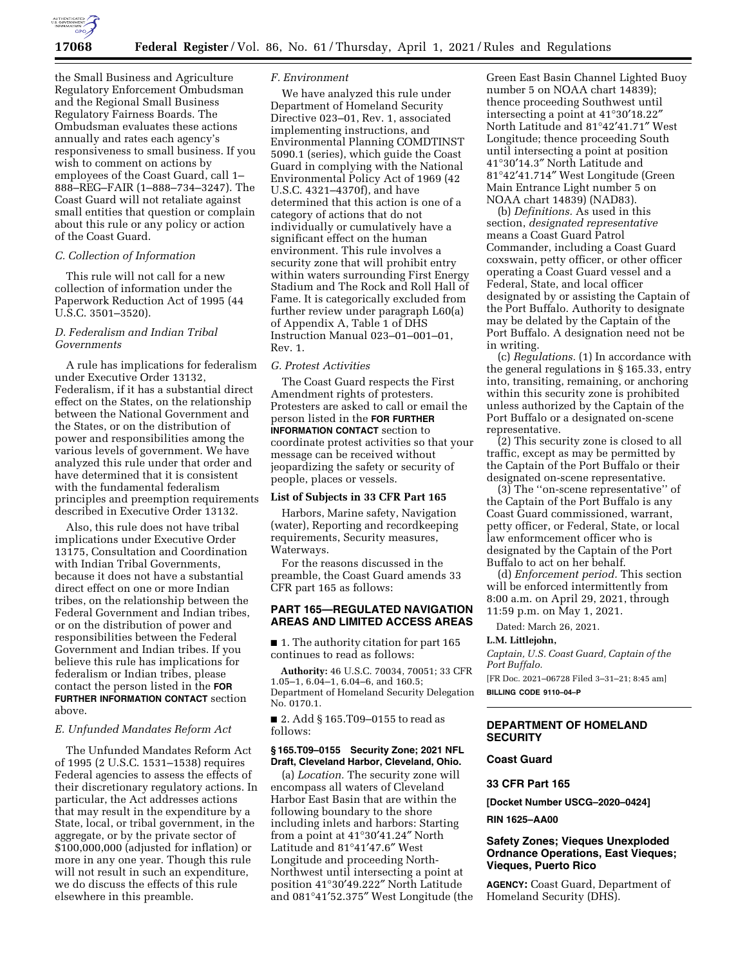

the Small Business and Agriculture Regulatory Enforcement Ombudsman and the Regional Small Business Regulatory Fairness Boards. The Ombudsman evaluates these actions annually and rates each agency's responsiveness to small business. If you wish to comment on actions by employees of the Coast Guard, call 1– 888–REG–FAIR (1–888–734–3247). The Coast Guard will not retaliate against small entities that question or complain about this rule or any policy or action of the Coast Guard.

#### *C. Collection of Information*

This rule will not call for a new collection of information under the Paperwork Reduction Act of 1995 (44 U.S.C. 3501–3520).

### *D. Federalism and Indian Tribal Governments*

A rule has implications for federalism under Executive Order 13132, Federalism, if it has a substantial direct effect on the States, on the relationship between the National Government and the States, or on the distribution of power and responsibilities among the various levels of government. We have analyzed this rule under that order and have determined that it is consistent with the fundamental federalism principles and preemption requirements described in Executive Order 13132.

Also, this rule does not have tribal implications under Executive Order 13175, Consultation and Coordination with Indian Tribal Governments, because it does not have a substantial direct effect on one or more Indian tribes, on the relationship between the Federal Government and Indian tribes, or on the distribution of power and responsibilities between the Federal Government and Indian tribes. If you believe this rule has implications for federalism or Indian tribes, please contact the person listed in the **FOR FURTHER INFORMATION CONTACT** section above.

### *E. Unfunded Mandates Reform Act*

The Unfunded Mandates Reform Act of 1995 (2 U.S.C. 1531–1538) requires Federal agencies to assess the effects of their discretionary regulatory actions. In particular, the Act addresses actions that may result in the expenditure by a State, local, or tribal government, in the aggregate, or by the private sector of \$100,000,000 (adjusted for inflation) or more in any one year. Though this rule will not result in such an expenditure, we do discuss the effects of this rule elsewhere in this preamble.

### *F. Environment*

We have analyzed this rule under Department of Homeland Security Directive 023–01, Rev. 1, associated implementing instructions, and Environmental Planning COMDTINST 5090.1 (series), which guide the Coast Guard in complying with the National Environmental Policy Act of 1969 (42 U.S.C. 4321–4370f), and have determined that this action is one of a category of actions that do not individually or cumulatively have a significant effect on the human environment. This rule involves a security zone that will prohibit entry within waters surrounding First Energy Stadium and The Rock and Roll Hall of Fame. It is categorically excluded from further review under paragraph L60(a) of Appendix A, Table 1 of DHS Instruction Manual 023–01–001–01, Rev. 1.

### *G. Protest Activities*

The Coast Guard respects the First Amendment rights of protesters. Protesters are asked to call or email the person listed in the **FOR FURTHER INFORMATION CONTACT** section to coordinate protest activities so that your message can be received without jeopardizing the safety or security of people, places or vessels.

#### **List of Subjects in 33 CFR Part 165**

Harbors, Marine safety, Navigation (water), Reporting and recordkeeping requirements, Security measures, Waterways.

For the reasons discussed in the preamble, the Coast Guard amends 33 CFR part 165 as follows:

## **PART 165—REGULATED NAVIGATION AREAS AND LIMITED ACCESS AREAS**

■ 1. The authority citation for part 165 continues to read as follows:

**Authority:** 46 U.S.C. 70034, 70051; 33 CFR 1.05–1, 6.04–1, 6.04–6, and 160.5; Department of Homeland Security Delegation No. 0170.1.

■ 2. Add § 165.T09–0155 to read as follows:

### **§ 165.T09–0155 Security Zone; 2021 NFL Draft, Cleveland Harbor, Cleveland, Ohio.**

(a) *Location.* The security zone will encompass all waters of Cleveland Harbor East Basin that are within the following boundary to the shore including inlets and harbors: Starting from a point at 41°30′41.24″ North Latitude and 81°41′47.6″ West Longitude and proceeding North-Northwest until intersecting a point at position 41°30′49.222″ North Latitude and 081°41′52.375″ West Longitude (the

Green East Basin Channel Lighted Buoy number 5 on NOAA chart 14839); thence proceeding Southwest until intersecting a point at 41°30′18.22″ North Latitude and 81°42′41.71″ West Longitude; thence proceeding South until intersecting a point at position 41°30′14.3″ North Latitude and 81°42′41.714″ West Longitude (Green Main Entrance Light number 5 on NOAA chart 14839) (NAD83).

(b) *Definitions.* As used in this section, *designated representative*  means a Coast Guard Patrol Commander, including a Coast Guard coxswain, petty officer, or other officer operating a Coast Guard vessel and a Federal, State, and local officer designated by or assisting the Captain of the Port Buffalo. Authority to designate may be delated by the Captain of the Port Buffalo. A designation need not be in writing.

(c) *Regulations.* (1) In accordance with the general regulations in § 165.33, entry into, transiting, remaining, or anchoring within this security zone is prohibited unless authorized by the Captain of the Port Buffalo or a designated on-scene representative.

(2) This security zone is closed to all traffic, except as may be permitted by the Captain of the Port Buffalo or their designated on-scene representative.

(3) The ''on-scene representative'' of the Captain of the Port Buffalo is any Coast Guard commissioned, warrant, petty officer, or Federal, State, or local law enformcement officer who is designated by the Captain of the Port Buffalo to act on her behalf.

(d) *Enforcement period.* This section will be enforced intermittently from 8:00 a.m. on April 29, 2021, through 11:59 p.m. on May 1, 2021.

Dated: March 26, 2021.

## **L.M. Littlejohn,**

*Captain, U.S. Coast Guard, Captain of the Port Buffalo.* 

[FR Doc. 2021–06728 Filed 3–31–21; 8:45 am] **BILLING CODE 9110–04–P** 

# **DEPARTMENT OF HOMELAND SECURITY**

# **Coast Guard**

# **33 CFR Part 165**

**[Docket Number USCG–2020–0424]** 

#### **RIN 1625–AA00**

### **Safety Zones; Vieques Unexploded Ordnance Operations, East Vieques; Vieques, Puerto Rico**

**AGENCY:** Coast Guard, Department of Homeland Security (DHS).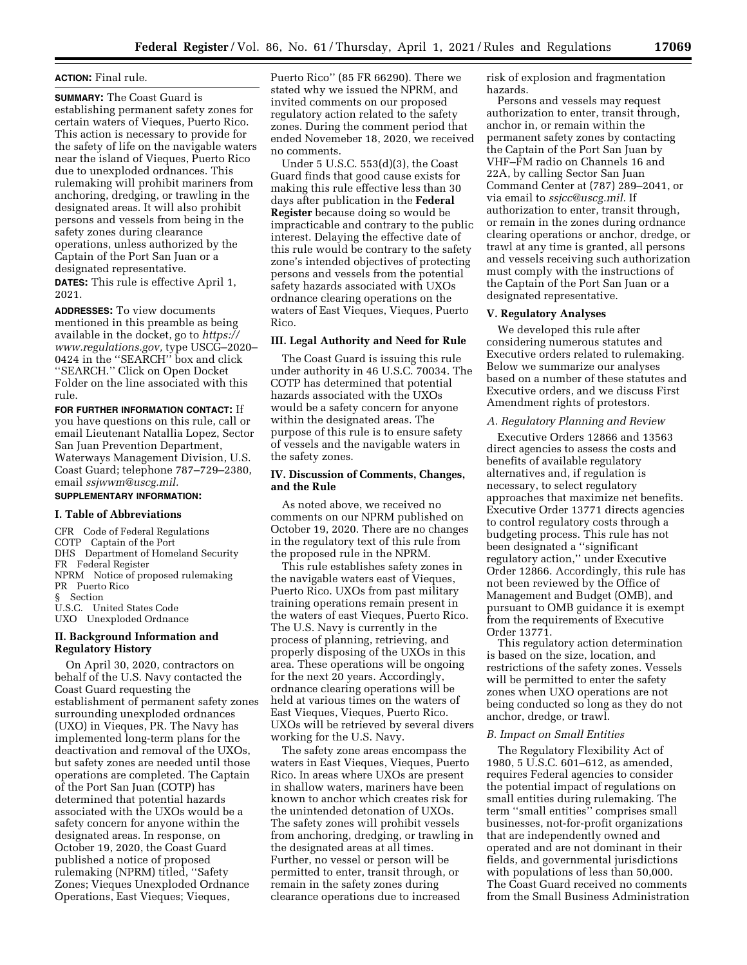#### **ACTION:** Final rule.

**SUMMARY:** The Coast Guard is establishing permanent safety zones for certain waters of Vieques, Puerto Rico. This action is necessary to provide for the safety of life on the navigable waters near the island of Vieques, Puerto Rico due to unexploded ordnances. This rulemaking will prohibit mariners from anchoring, dredging, or trawling in the designated areas. It will also prohibit persons and vessels from being in the safety zones during clearance operations, unless authorized by the Captain of the Port San Juan or a designated representative. **DATES:** This rule is effective April 1, 2021.

**ADDRESSES:** To view documents mentioned in this preamble as being available in the docket, go to *[https://](https://www.regulations.gov) [www.regulations.gov,](https://www.regulations.gov)* type USCG–2020– 0424 in the "SEARCH" box and click ''SEARCH.'' Click on Open Docket Folder on the line associated with this rule.

**FOR FURTHER INFORMATION CONTACT:** If you have questions on this rule, call or email Lieutenant Natallia Lopez, Sector San Juan Prevention Department, Waterways Management Division, U.S. Coast Guard; telephone 787–729–2380, email *[ssjwwm@uscg.mil.](mailto:ssjwwm@uscg.mil)* 

# **SUPPLEMENTARY INFORMATION:**

## **I. Table of Abbreviations**

CFR Code of Federal Regulations COTP Captain of the Port DHS Department of Homeland Security FR Federal Register NPRM Notice of proposed rulemaking PR Puerto Rico § Section U.S.C. United States Code UXO Unexploded Ordnance

## **II. Background Information and Regulatory History**

On April 30, 2020, contractors on behalf of the U.S. Navy contacted the Coast Guard requesting the establishment of permanent safety zones surrounding unexploded ordnances (UXO) in Vieques, PR. The Navy has implemented long-term plans for the deactivation and removal of the UXOs, but safety zones are needed until those operations are completed. The Captain of the Port San Juan (COTP) has determined that potential hazards associated with the UXOs would be a safety concern for anyone within the designated areas. In response, on October 19, 2020, the Coast Guard published a notice of proposed rulemaking (NPRM) titled, ''Safety Zones; Vieques Unexploded Ordnance Operations, East Vieques; Vieques,

Puerto Rico'' (85 FR 66290). There we stated why we issued the NPRM, and invited comments on our proposed regulatory action related to the safety zones. During the comment period that ended Novemeber 18, 2020, we received no comments.

Under 5 U.S.C. 553(d)(3), the Coast Guard finds that good cause exists for making this rule effective less than 30 days after publication in the **Federal Register** because doing so would be impracticable and contrary to the public interest. Delaying the effective date of this rule would be contrary to the safety zone's intended objectives of protecting persons and vessels from the potential safety hazards associated with UXOs ordnance clearing operations on the waters of East Vieques, Vieques, Puerto Rico.

### **III. Legal Authority and Need for Rule**

The Coast Guard is issuing this rule under authority in 46 U.S.C. 70034. The COTP has determined that potential hazards associated with the UXOs would be a safety concern for anyone within the designated areas. The purpose of this rule is to ensure safety of vessels and the navigable waters in the safety zones.

## **IV. Discussion of Comments, Changes, and the Rule**

As noted above, we received no comments on our NPRM published on October 19, 2020. There are no changes in the regulatory text of this rule from the proposed rule in the NPRM.

This rule establishes safety zones in the navigable waters east of Vieques, Puerto Rico. UXOs from past military training operations remain present in the waters of east Vieques, Puerto Rico. The U.S. Navy is currently in the process of planning, retrieving, and properly disposing of the UXOs in this area. These operations will be ongoing for the next 20 years. Accordingly, ordnance clearing operations will be held at various times on the waters of East Vieques, Vieques, Puerto Rico. UXOs will be retrieved by several divers working for the U.S. Navy.

The safety zone areas encompass the waters in East Vieques, Vieques, Puerto Rico. In areas where UXOs are present in shallow waters, mariners have been known to anchor which creates risk for the unintended detonation of UXOs. The safety zones will prohibit vessels from anchoring, dredging, or trawling in the designated areas at all times. Further, no vessel or person will be permitted to enter, transit through, or remain in the safety zones during clearance operations due to increased

risk of explosion and fragmentation hazards.

Persons and vessels may request authorization to enter, transit through, anchor in, or remain within the permanent safety zones by contacting the Captain of the Port San Juan by VHF–FM radio on Channels 16 and 22A, by calling Sector San Juan Command Center at (787) 289–2041, or via email to *[ssjcc@uscg.mil.](mailto:ssjcc@uscg.mil)* If authorization to enter, transit through, or remain in the zones during ordnance clearing operations or anchor, dredge, or trawl at any time is granted, all persons and vessels receiving such authorization must comply with the instructions of the Captain of the Port San Juan or a designated representative.

#### **V. Regulatory Analyses**

We developed this rule after considering numerous statutes and Executive orders related to rulemaking. Below we summarize our analyses based on a number of these statutes and Executive orders, and we discuss First Amendment rights of protestors.

## *A. Regulatory Planning and Review*

Executive Orders 12866 and 13563 direct agencies to assess the costs and benefits of available regulatory alternatives and, if regulation is necessary, to select regulatory approaches that maximize net benefits. Executive Order 13771 directs agencies to control regulatory costs through a budgeting process. This rule has not been designated a ''significant regulatory action,'' under Executive Order 12866. Accordingly, this rule has not been reviewed by the Office of Management and Budget (OMB), and pursuant to OMB guidance it is exempt from the requirements of Executive Order 13771.

This regulatory action determination is based on the size, location, and restrictions of the safety zones. Vessels will be permitted to enter the safety zones when UXO operations are not being conducted so long as they do not anchor, dredge, or trawl.

### *B. Impact on Small Entities*

The Regulatory Flexibility Act of 1980, 5 U.S.C. 601–612, as amended, requires Federal agencies to consider the potential impact of regulations on small entities during rulemaking. The term ''small entities'' comprises small businesses, not-for-profit organizations that are independently owned and operated and are not dominant in their fields, and governmental jurisdictions with populations of less than 50,000. The Coast Guard received no comments from the Small Business Administration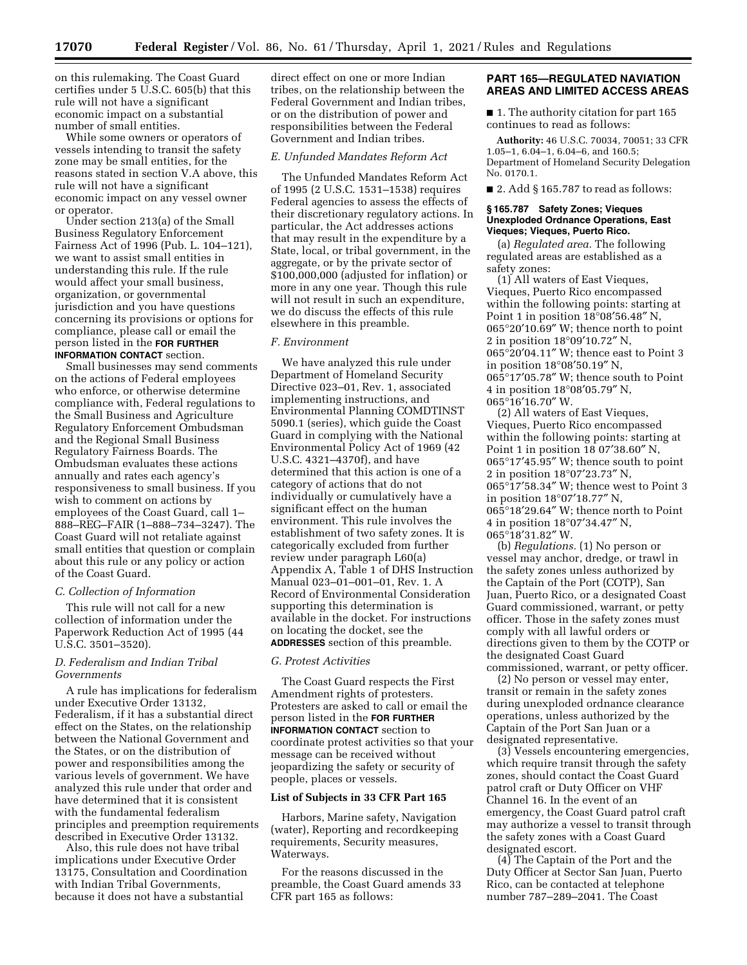on this rulemaking. The Coast Guard certifies under 5 U.S.C. 605(b) that this rule will not have a significant economic impact on a substantial number of small entities.

While some owners or operators of vessels intending to transit the safety zone may be small entities, for the reasons stated in section V.A above, this rule will not have a significant economic impact on any vessel owner or operator.

Under section 213(a) of the Small Business Regulatory Enforcement Fairness Act of 1996 (Pub. L. 104–121), we want to assist small entities in understanding this rule. If the rule would affect your small business, organization, or governmental jurisdiction and you have questions concerning its provisions or options for compliance, please call or email the person listed in the **FOR FURTHER INFORMATION CONTACT** section.

Small businesses may send comments on the actions of Federal employees who enforce, or otherwise determine compliance with, Federal regulations to the Small Business and Agriculture Regulatory Enforcement Ombudsman and the Regional Small Business Regulatory Fairness Boards. The Ombudsman evaluates these actions annually and rates each agency's responsiveness to small business. If you wish to comment on actions by employees of the Coast Guard, call 1– 888–REG–FAIR (1–888–734–3247). The Coast Guard will not retaliate against small entities that question or complain about this rule or any policy or action of the Coast Guard.

#### *C. Collection of Information*

This rule will not call for a new collection of information under the Paperwork Reduction Act of 1995 (44 U.S.C. 3501–3520).

## *D. Federalism and Indian Tribal Governments*

A rule has implications for federalism under Executive Order 13132, Federalism, if it has a substantial direct effect on the States, on the relationship between the National Government and the States, or on the distribution of power and responsibilities among the various levels of government. We have analyzed this rule under that order and have determined that it is consistent with the fundamental federalism principles and preemption requirements described in Executive Order 13132.

Also, this rule does not have tribal implications under Executive Order 13175, Consultation and Coordination with Indian Tribal Governments, because it does not have a substantial

direct effect on one or more Indian tribes, on the relationship between the Federal Government and Indian tribes, or on the distribution of power and responsibilities between the Federal Government and Indian tribes.

#### *E. Unfunded Mandates Reform Act*

The Unfunded Mandates Reform Act of 1995 (2 U.S.C. 1531–1538) requires Federal agencies to assess the effects of their discretionary regulatory actions. In particular, the Act addresses actions that may result in the expenditure by a State, local, or tribal government, in the aggregate, or by the private sector of \$100,000,000 (adjusted for inflation) or more in any one year. Though this rule will not result in such an expenditure, we do discuss the effects of this rule elsewhere in this preamble.

### *F. Environment*

We have analyzed this rule under Department of Homeland Security Directive 023–01, Rev. 1, associated implementing instructions, and Environmental Planning COMDTINST 5090.1 (series), which guide the Coast Guard in complying with the National Environmental Policy Act of 1969 (42 U.S.C. 4321–4370f), and have determined that this action is one of a category of actions that do not individually or cumulatively have a significant effect on the human environment. This rule involves the establishment of two safety zones. It is categorically excluded from further review under paragraph L60(a) Appendix A, Table 1 of DHS Instruction Manual 023–01–001–01, Rev. 1. A Record of Environmental Consideration supporting this determination is available in the docket. For instructions on locating the docket, see the **ADDRESSES** section of this preamble.

## *G. Protest Activities*

The Coast Guard respects the First Amendment rights of protesters. Protesters are asked to call or email the person listed in the **FOR FURTHER INFORMATION CONTACT** section to coordinate protest activities so that your message can be received without jeopardizing the safety or security of people, places or vessels.

### **List of Subjects in 33 CFR Part 165**

Harbors, Marine safety, Navigation (water), Reporting and recordkeeping requirements, Security measures, Waterways.

For the reasons discussed in the preamble, the Coast Guard amends 33 CFR part 165 as follows:

## **PART 165—REGULATED NAVIATION AREAS AND LIMITED ACCESS AREAS**

■ 1. The authority citation for part 165 continues to read as follows:

**Authority:** 46 U.S.C. 70034, 70051; 33 CFR 1.05–1, 6.04–1, 6.04–6, and 160.5; Department of Homeland Security Delegation No. 0170.1.

 $\blacksquare$  2. Add § 165.787 to read as follows:

### **§ 165.787 Safety Zones; Vieques Unexploded Ordnance Operations, East Vieques; Vieques, Puerto Rico.**

(a) *Regulated area.* The following regulated areas are established as a safety zones:

(1) All waters of East Vieques, Vieques, Puerto Rico encompassed within the following points: starting at Point 1 in position 18°08′56.48″ N, 065°20′10.69″ W; thence north to point 2 in position 18°09′10.72″ N, 065°20′04.11″ W; thence east to Point 3 in position 18°08′50.19″ N, 065°17′05.78″ W; thence south to Point 4 in position 18°08′05.79″ N, 065°16′16.70″ W.

(2) All waters of East Vieques, Vieques, Puerto Rico encompassed within the following points: starting at Point 1 in position 18 07′38.60″ N, 065°17′45.95″ W; thence south to point 2 in position 18°07′23.73″ N, 065°17′58.34″ W; thence west to Point 3 in position 18°07′18.77″ N, 065°18′29.64″ W; thence north to Point 4 in position 18°07′34.47″ N, 065°18′31.82″ W.

(b) *Regulations.* (1) No person or vessel may anchor, dredge, or trawl in the safety zones unless authorized by the Captain of the Port (COTP), San Juan, Puerto Rico, or a designated Coast Guard commissioned, warrant, or petty officer. Those in the safety zones must comply with all lawful orders or directions given to them by the COTP or the designated Coast Guard commissioned, warrant, or petty officer.

(2) No person or vessel may enter, transit or remain in the safety zones during unexploded ordnance clearance operations, unless authorized by the Captain of the Port San Juan or a designated representative.

(3) Vessels encountering emergencies, which require transit through the safety zones, should contact the Coast Guard patrol craft or Duty Officer on VHF Channel 16. In the event of an emergency, the Coast Guard patrol craft may authorize a vessel to transit through the safety zones with a Coast Guard designated escort.

(4) The Captain of the Port and the Duty Officer at Sector San Juan, Puerto Rico, can be contacted at telephone number 787–289–2041. The Coast